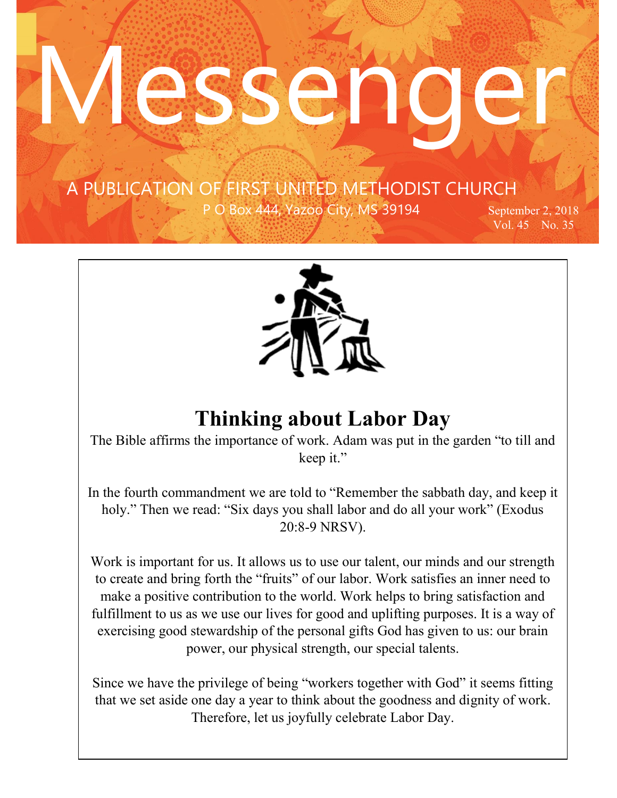#### …copied A PUBLICATION OF FIRST UNITED METHODIST CHURCH

 $\mathcal{F}^{\text{max}}_{\text{max}}$ 

Res C.

P O Box 444, Yazoo City, MS 39194 September 2, 2018

Vol. 45 No. 35



# **Thinking about Labor Day**

The Bible affirms the importance of work. Adam was put in the garden "to till and keep it."

In the fourth commandment we are told to "Remember the sabbath day, and keep it holy." Then we read: "Six days you shall labor and do all your work" (Exodus 20:8-9 NRSV).

Work is important for us. It allows us to use our talent, our minds and our strength to create and bring forth the "fruits" of our labor. Work satisfies an inner need to make a positive contribution to the world. Work helps to bring satisfaction and fulfillment to us as we use our lives for good and uplifting purposes. It is a way of exercising good stewardship of the personal gifts God has given to us: our brain power, our physical strength, our special talents.

Since we have the privilege of being "workers together with God" it seems fitting that we set aside one day a year to think about the goodness and dignity of work. Therefore, let us joyfully celebrate Labor Day.

The Bible affirms the importance of work. Adam was put in the garden  $\alpha$  to till and garden  $\alpha$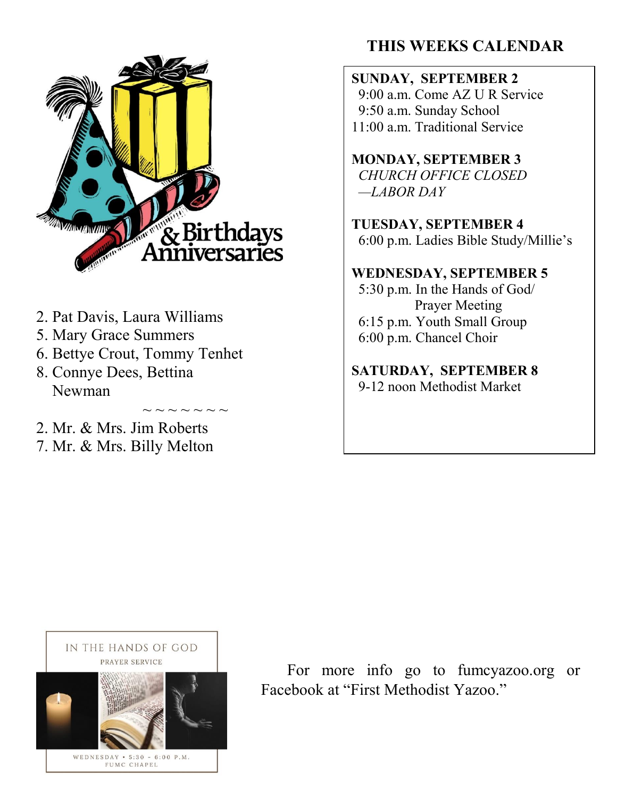

- 2. Pat Davis, Laura Williams
- 5. Mary Grace Summers
- 6. Bettye Crout, Tommy Tenhet

 $\sim$   $\sim$   $\sim$   $\sim$   $\sim$ 

- 8. Connye Dees, Bettina Newman
- 2. Mr. & Mrs. Jim Roberts
- 7. Mr. & Mrs. Billy Melton

# **THIS WEEKS CALENDAR**

**SUNDAY, SEPTEMBER 2** 9:00 a.m. Come AZ U R Service 9:50 a.m. Sunday School 11:00 a.m. Traditional Service

**MONDAY, SEPTEMBER 3** *CHURCH OFFICE CLOSED —LABOR DAY*

**TUESDAY, SEPTEMBER 4** 6:00 p.m. Ladies Bible Study/Millie's

#### **WEDNESDAY, SEPTEMBER 5**

5:30 p.m. In the Hands of God/ Prayer Meeting 6:15 p.m. Youth Small Group 6:00 p.m. Chancel Choir

**SATURDAY, SEPTEMBER 8** 9-12 noon Methodist Market



PRAYER SERVICE FOR **FOR MOTE** info go to fumeyazoo.org or Facebook at "First Methodist Facebook at "First Methodist Yazoo."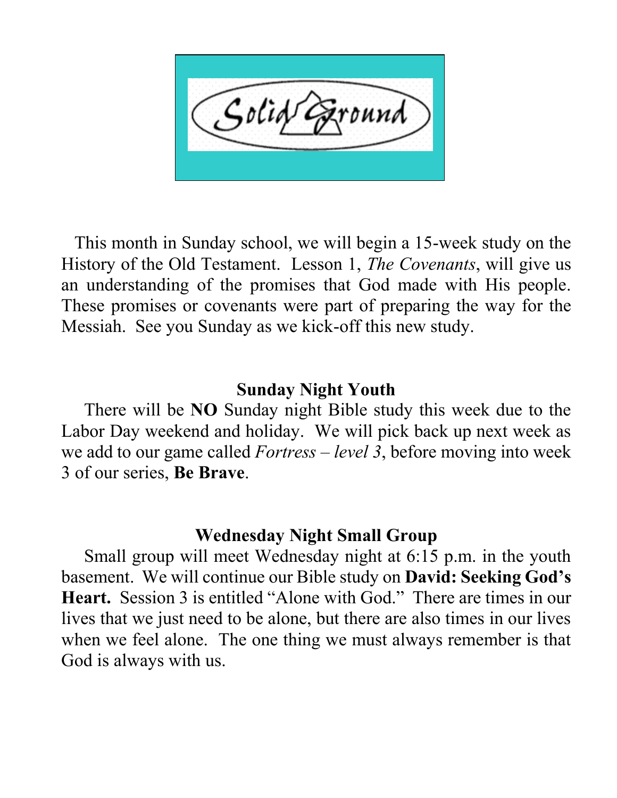This month in Sunday school, we will begin a 15-week study on the History of the Old Testament. Lesson 1, *The Covenants*, will give us an understanding of the promises that God made with His people. These promises or covenants were part of preparing the way for the Messiah. See you Sunday as we kick-off this new study.

## **Sunday Night Youth**

 There will be **NO** Sunday night Bible study this week due to the Labor Day weekend and holiday. We will pick back up next week as we add to our game called *Fortress – level 3*, before moving into week 3 of our series, **Be Brave**.

## **Wednesday Night Small Group**

 Small group will meet Wednesday night at 6:15 p.m. in the youth basement. We will continue our Bible study on **David: Seeking God's Heart.** Session 3 is entitled "Alone with God." There are times in our lives that we just need to be alone, but there are also times in our lives when we feel alone. The one thing we must always remember is that God is always with us.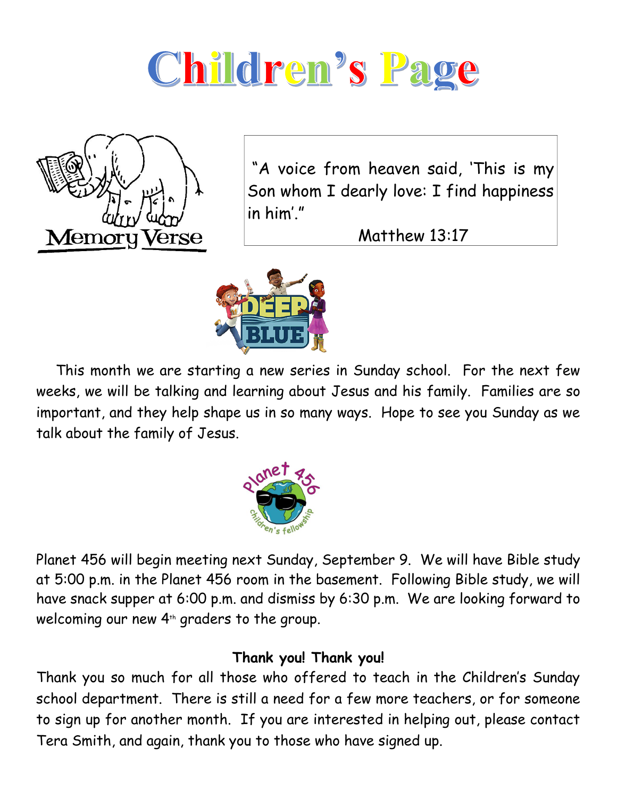



"A voice from heaven said, 'This is my Son whom I dearly love: I find happiness in him'."

Matthew 13:17



 This month we are starting a new series in Sunday school. For the next few weeks, we will be talking and learning about Jesus and his family. Families are so important, and they help shape us in so many ways. Hope to see you Sunday as we talk about the family of Jesus.



Planet 456 will begin meeting next Sunday, September 9. We will have Bible study at 5:00 p.m. in the Planet 456 room in the basement. Following Bible study, we will have snack supper at 6:00 p.m. and dismiss by 6:30 p.m. We are looking forward to welcoming our new  $4<sup>th</sup>$  graders to the group.

## **Thank you! Thank you!**

Thank you so much for all those who offered to teach in the Children's Sunday school department. There is still a need for a few more teachers, or for someone to sign up for another month. If you are interested in helping out, please contact Tera Smith, and again, thank you to those who have signed up.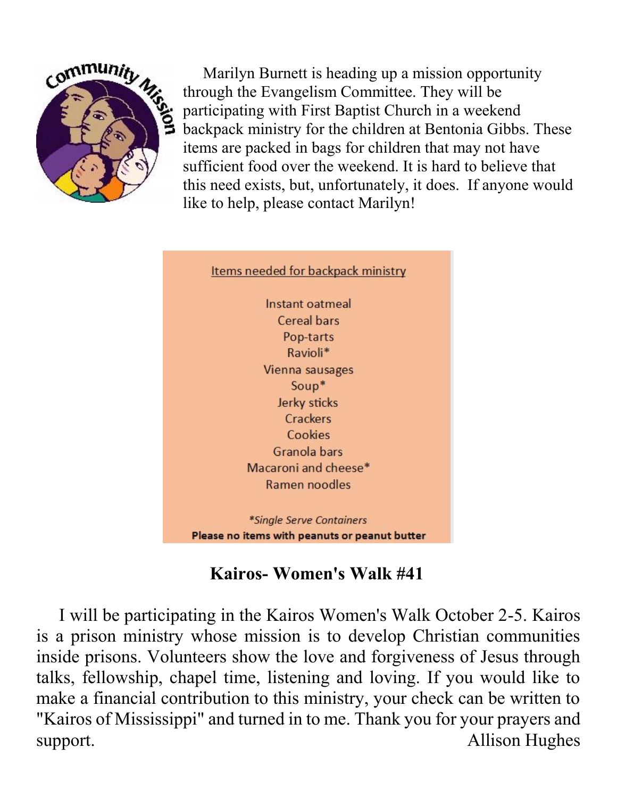

 Marilyn Burnett is heading up a mission opportunity through the Evangelism Committee. They will be participating with First Baptist Church in a weekend backpack ministry for the children at Bentonia Gibbs. These items are packed in bags for children that may not have sufficient food over the weekend. It is hard to believe that this need exists, but, unfortunately, it does. If anyone would like to help, please contact Marilyn!



# **Kairos- Women's Walk #41**

 I will be participating in the Kairos Women's Walk October 2-5. Kairos is a prison ministry whose mission is to develop Christian communities inside prisons. Volunteers show the love and forgiveness of Jesus through talks, fellowship, chapel time, listening and loving. If you would like to make a financial contribution to this ministry, your check can be written to "Kairos of Mississippi" and turned in to me. Thank you for your prayers and support. Allison Hughes